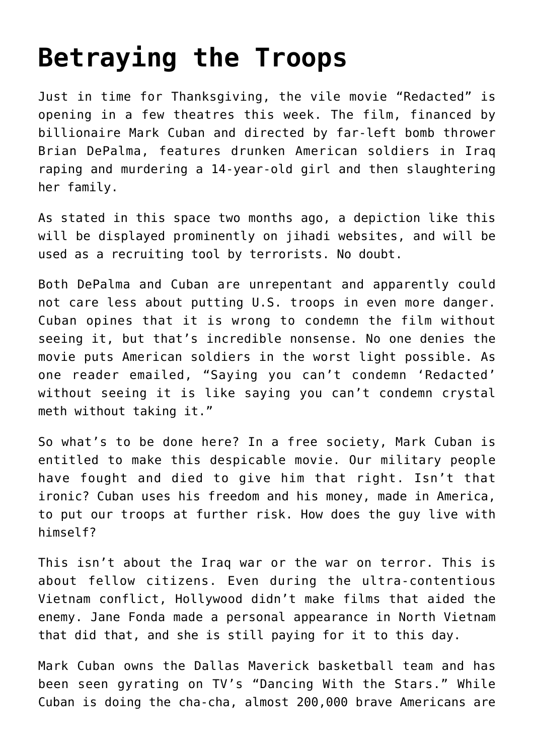# **[Betraying the Troops](https://bernardgoldberg.com/betraying-the-troops/)**

Just in time for Thanksgiving, the vile movie "Redacted" is opening in a few theatres this week. The film, financed by billionaire Mark Cuban and directed by far-left bomb thrower Brian DePalma, features drunken American soldiers in Iraq raping and murdering a 14-year-old girl and then slaughtering her family.

As stated in this space two months ago, a depiction like this will be displayed prominently on jihadi websites, and will be used as a recruiting tool by terrorists. No doubt.

Both DePalma and Cuban are unrepentant and apparently could not care less about putting U.S. troops in even more danger. Cuban opines that it is wrong to condemn the film without seeing it, but that's incredible nonsense. No one denies the movie puts American soldiers in the worst light possible. As one reader emailed, "Saying you can't condemn 'Redacted' without seeing it is like saying you can't condemn crystal meth without taking it."

So what's to be done here? In a free society, Mark Cuban is entitled to make this despicable movie. Our military people have fought and died to give him that right. Isn't that ironic? Cuban uses his freedom and his money, made in America, to put our troops at further risk. How does the guy live with himself?

This isn't about the Iraq war or the war on terror. This is about fellow citizens. Even during the ultra-contentious Vietnam conflict, Hollywood didn't make films that aided the enemy. Jane Fonda made a personal appearance in North Vietnam that did that, and she is still paying for it to this day.

Mark Cuban owns the Dallas Maverick basketball team and has been seen gyrating on TV's "Dancing With the Stars." While Cuban is doing the cha-cha, almost 200,000 brave Americans are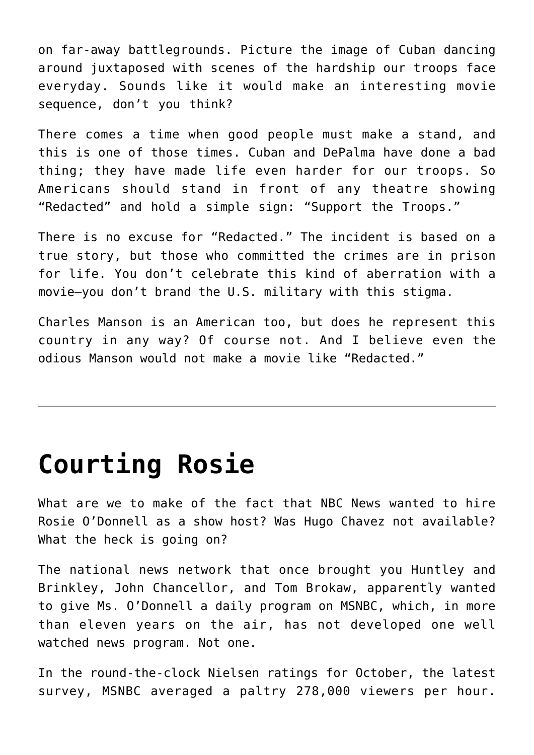on far-away battlegrounds. Picture the image of Cuban dancing around juxtaposed with scenes of the hardship our troops face everyday. Sounds like it would make an interesting movie sequence, don't you think?

There comes a time when good people must make a stand, and this is one of those times. Cuban and DePalma have done a bad thing; they have made life even harder for our troops. So Americans should stand in front of any theatre showing "Redacted" and hold a simple sign: "Support the Troops."

There is no excuse for "Redacted." The incident is based on a true story, but those who committed the crimes are in prison for life. You don't celebrate this kind of aberration with a movie—you don't brand the U.S. military with this stigma.

Charles Manson is an American too, but does he represent this country in any way? Of course not. And I believe even the odious Manson would not make a movie like "Redacted."

### **[Courting Rosie](https://bernardgoldberg.com/courting-rosie/)**

What are we to make of the fact that NBC News wanted to hire Rosie O'Donnell as a show host? Was Hugo Chavez not available? What the heck is going on?

The national news network that once brought you Huntley and Brinkley, John Chancellor, and Tom Brokaw, apparently wanted to give Ms. O'Donnell a daily program on MSNBC, which, in more than eleven years on the air, has not developed one well watched news program. Not one.

In the round-the-clock Nielsen ratings for October, the latest survey, MSNBC averaged a paltry 278,000 viewers per hour.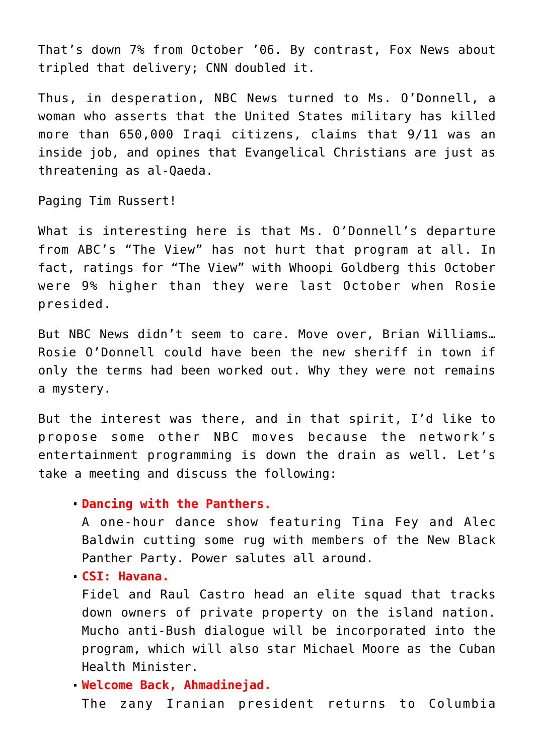That's down 7% from October '06. By contrast, Fox News about tripled that delivery; CNN doubled it.

Thus, in desperation, NBC News turned to Ms. O'Donnell, a woman who asserts that the United States military has killed more than 650,000 Iraqi citizens, claims that 9/11 was an inside job, and opines that Evangelical Christians are just as threatening as al-Qaeda.

Paging Tim Russert!

What is interesting here is that Ms. O'Donnell's departure from ABC's "The View" has not hurt that program at all. In fact, ratings for "The View" with Whoopi Goldberg this October were 9% higher than they were last October when Rosie presided.

But NBC News didn't seem to care. Move over, Brian Williams… Rosie O'Donnell could have been the new sheriff in town if only the terms had been worked out. Why they were not remains a mystery.

But the interest was there, and in that spirit, I'd like to propose some other NBC moves because the network's entertainment programming is down the drain as well. Let's take a meeting and discuss the following:

#### **Dancing with the Panthers.**

A one-hour dance show featuring Tina Fey and Alec Baldwin cutting some rug with members of the New Black Panther Party. Power salutes all around.

**CSI: Havana.**

Fidel and Raul Castro head an elite squad that tracks down owners of private property on the island nation. Mucho anti-Bush dialogue will be incorporated into the program, which will also star Michael Moore as the Cuban Health Minister.

#### **Welcome Back, Ahmadinejad.**

The zany Iranian president returns to Columbia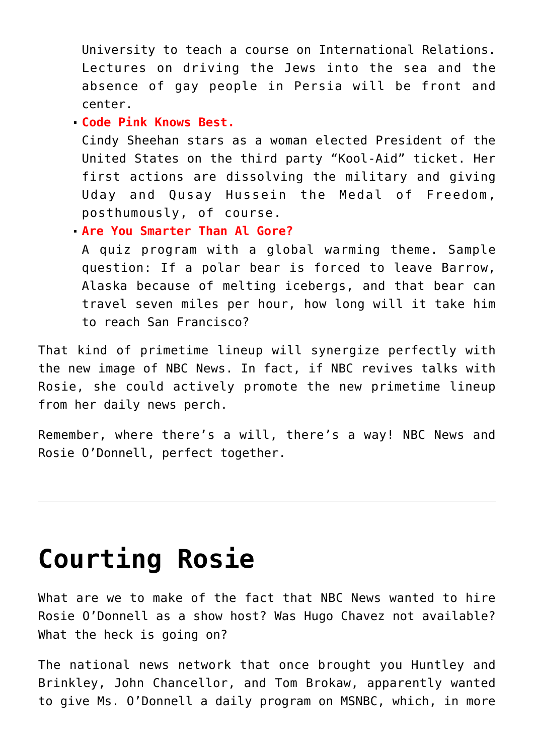University to teach a course on International Relations. Lectures on driving the Jews into the sea and the absence of gay people in Persia will be front and center.

**Code Pink Knows Best.**

Cindy Sheehan stars as a woman elected President of the United States on the third party "Kool-Aid" ticket. Her first actions are dissolving the military and giving Uday and Qusay Hussein the Medal of Freedom, posthumously, of course.

**Are You Smarter Than Al Gore?**

A quiz program with a global warming theme. Sample question: If a polar bear is forced to leave Barrow, Alaska because of melting icebergs, and that bear can travel seven miles per hour, how long will it take him to reach San Francisco?

That kind of primetime lineup will synergize perfectly with the new image of NBC News. In fact, if NBC revives talks with Rosie, she could actively promote the new primetime lineup from her daily news perch.

Remember, where there's a will, there's a way! NBC News and Rosie O'Donnell, perfect together.

## **[Courting Rosie](https://bernardgoldberg.com/courting-rosie-2/)**

What are we to make of the fact that NBC News wanted to hire Rosie O'Donnell as a show host? Was Hugo Chavez not available? What the heck is going on?

The national news network that once brought you Huntley and Brinkley, John Chancellor, and Tom Brokaw, apparently wanted to give Ms. O'Donnell a daily program on MSNBC, which, in more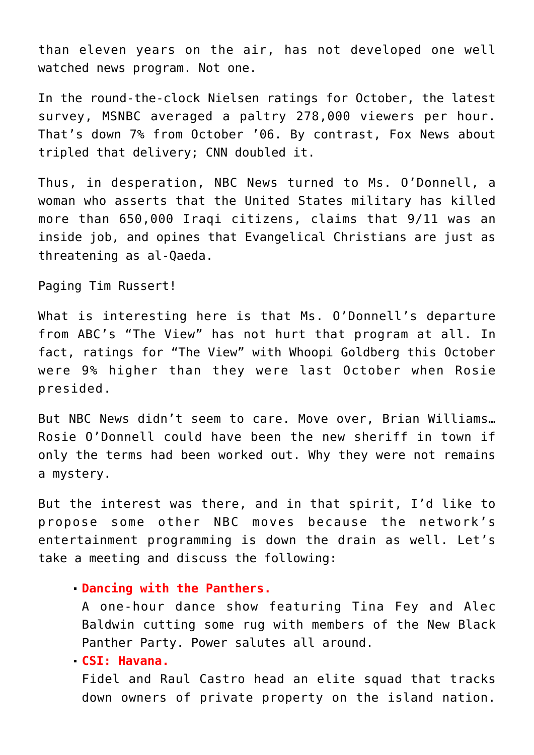than eleven years on the air, has not developed one well watched news program. Not one.

In the round-the-clock Nielsen ratings for October, the latest survey, MSNBC averaged a paltry 278,000 viewers per hour. That's down 7% from October '06. By contrast, Fox News about tripled that delivery; CNN doubled it.

Thus, in desperation, NBC News turned to Ms. O'Donnell, a woman who asserts that the United States military has killed more than 650,000 Iraqi citizens, claims that 9/11 was an inside job, and opines that Evangelical Christians are just as threatening as al-Qaeda.

Paging Tim Russert!

What is interesting here is that Ms. O'Donnell's departure from ABC's "The View" has not hurt that program at all. In fact, ratings for "The View" with Whoopi Goldberg this October were 9% higher than they were last October when Rosie presided.

But NBC News didn't seem to care. Move over, Brian Williams… Rosie O'Donnell could have been the new sheriff in town if only the terms had been worked out. Why they were not remains a mystery.

But the interest was there, and in that spirit, I'd like to propose some other NBC moves because the network's entertainment programming is down the drain as well. Let's take a meeting and discuss the following:

#### **Dancing with the Panthers.**

A one-hour dance show featuring Tina Fey and Alec Baldwin cutting some rug with members of the New Black Panther Party. Power salutes all around.

**CSI: Havana.**

Fidel and Raul Castro head an elite squad that tracks down owners of private property on the island nation.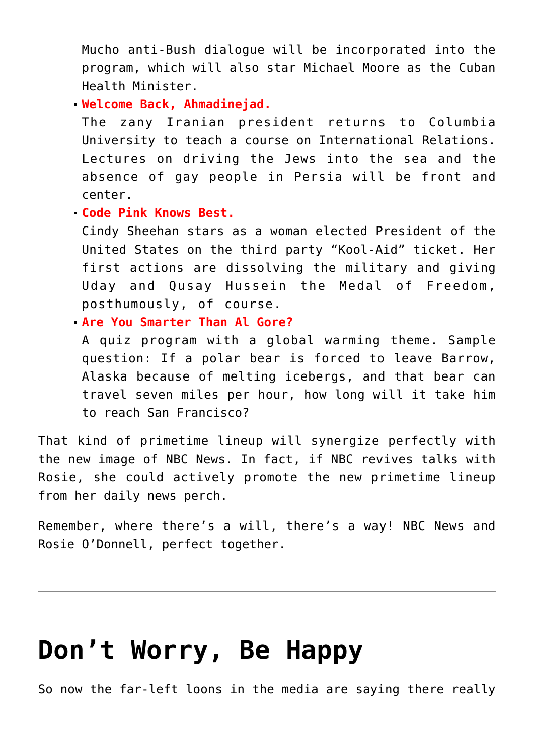Mucho anti-Bush dialogue will be incorporated into the program, which will also star Michael Moore as the Cuban Health Minister.

**Welcome Back, Ahmadinejad.**

The zany Iranian president returns to Columbia University to teach a course on International Relations. Lectures on driving the Jews into the sea and the absence of gay people in Persia will be front and center.

### **Code Pink Knows Best.**

Cindy Sheehan stars as a woman elected President of the United States on the third party "Kool-Aid" ticket. Her first actions are dissolving the military and giving Uday and Qusay Hussein the Medal of Freedom, posthumously, of course.

### **Are You Smarter Than Al Gore?**

A quiz program with a global warming theme. Sample question: If a polar bear is forced to leave Barrow, Alaska because of melting icebergs, and that bear can travel seven miles per hour, how long will it take him to reach San Francisco?

That kind of primetime lineup will synergize perfectly with the new image of NBC News. In fact, if NBC revives talks with Rosie, she could actively promote the new primetime lineup from her daily news perch.

Remember, where there's a will, there's a way! NBC News and Rosie O'Donnell, perfect together.

## **[Don't Worry, Be Happy](https://bernardgoldberg.com/dont-worry-be-happy/)**

So now the far-left loons in the media are saying there really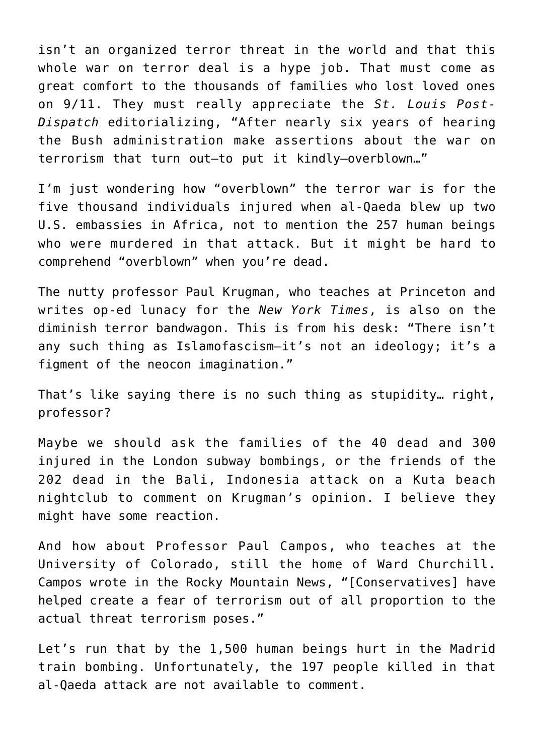isn't an organized terror threat in the world and that this whole war on terror deal is a hype job. That must come as great comfort to the thousands of families who lost loved ones on 9/11. They must really appreciate the *St. Louis Post-Dispatch* editorializing, "After nearly six years of hearing the Bush administration make assertions about the war on terrorism that turn out—to put it kindly—overblown…"

I'm just wondering how "overblown" the terror war is for the five thousand individuals injured when al-Qaeda blew up two U.S. embassies in Africa, not to mention the 257 human beings who were murdered in that attack. But it might be hard to comprehend "overblown" when you're dead.

The nutty professor Paul Krugman, who teaches at Princeton and writes op-ed lunacy for the *New York Times*, is also on the diminish terror bandwagon. This is from his desk: "There isn't any such thing as Islamofascism—it's not an ideology; it's a figment of the neocon imagination."

That's like saying there is no such thing as stupidity… right, professor?

Maybe we should ask the families of the 40 dead and 300 injured in the London subway bombings, or the friends of the 202 dead in the Bali, Indonesia attack on a Kuta beach nightclub to comment on Krugman's opinion. I believe they might have some reaction.

And how about Professor Paul Campos, who teaches at the University of Colorado, still the home of Ward Churchill. Campos wrote in the Rocky Mountain News, "[Conservatives] have helped create a fear of terrorism out of all proportion to the actual threat terrorism poses."

Let's run that by the 1,500 human beings hurt in the Madrid train bombing. Unfortunately, the 197 people killed in that al-Qaeda attack are not available to comment.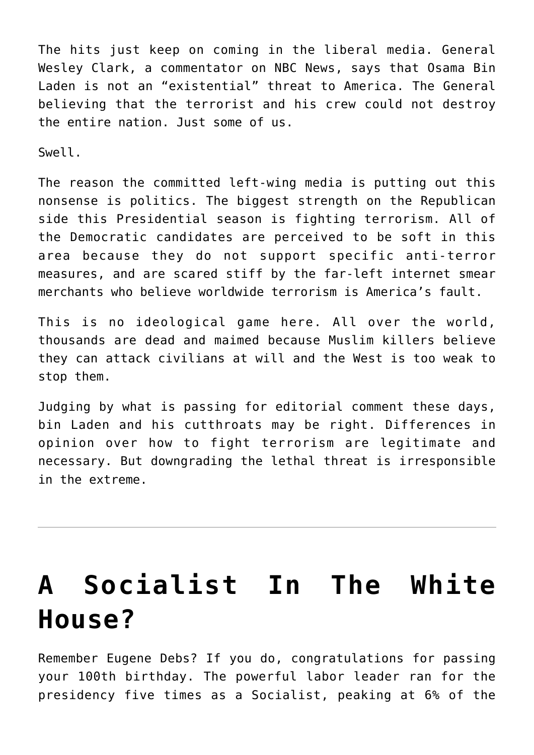The hits just keep on coming in the liberal media. General Wesley Clark, a commentator on NBC News, says that Osama Bin Laden is not an "existential" threat to America. The General believing that the terrorist and his crew could not destroy the entire nation. Just some of us.

Swell.

The reason the committed left-wing media is putting out this nonsense is politics. The biggest strength on the Republican side this Presidential season is fighting terrorism. All of the Democratic candidates are perceived to be soft in this area because they do not support specific anti-terror measures, and are scared stiff by the far-left internet smear merchants who believe worldwide terrorism is America's fault.

This is no ideological game here. All over the world, thousands are dead and maimed because Muslim killers believe they can attack civilians at will and the West is too weak to stop them.

Judging by what is passing for editorial comment these days, bin Laden and his cutthroats may be right. Differences in opinion over how to fight terrorism are legitimate and necessary. But downgrading the lethal threat is irresponsible in the extreme.

# **[A Socialist In The White](https://bernardgoldberg.com/dont-worry-be-happy-2/) [House?](https://bernardgoldberg.com/dont-worry-be-happy-2/)**

Remember Eugene Debs? If you do, congratulations for passing your 100th birthday. The powerful labor leader ran for the presidency five times as a Socialist, peaking at 6% of the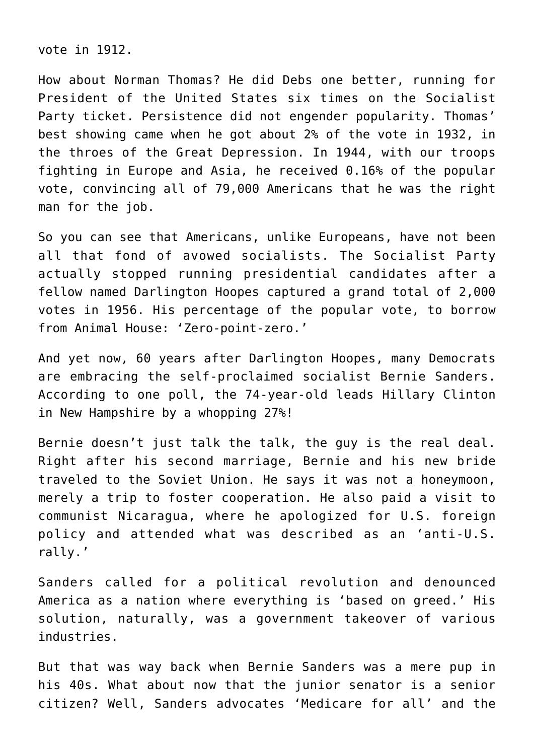vote in 1912.

How about Norman Thomas? He did Debs one better, running for President of the United States six times on the Socialist Party ticket. Persistence did not engender popularity. Thomas' best showing came when he got about 2% of the vote in 1932, in the throes of the Great Depression. In 1944, with our troops fighting in Europe and Asia, he received 0.16% of the popular vote, convincing all of 79,000 Americans that he was the right man for the job.

So you can see that Americans, unlike Europeans, have not been all that fond of avowed socialists. The Socialist Party actually stopped running presidential candidates after a fellow named Darlington Hoopes captured a grand total of 2,000 votes in 1956. His percentage of the popular vote, to borrow from Animal House: 'Zero-point-zero.'

And yet now, 60 years after Darlington Hoopes, many Democrats are embracing the self-proclaimed socialist Bernie Sanders. According to one poll, the 74-year-old leads Hillary Clinton in New Hampshire by a whopping 27%!

Bernie doesn't just talk the talk, the guy is the real deal. Right after his second marriage, Bernie and his new bride traveled to the Soviet Union. He says it was not a honeymoon, merely a trip to foster cooperation. He also paid a visit to communist Nicaragua, where he apologized for U.S. foreign policy and attended what was described as an 'anti-U.S. rally.'

Sanders called for a political revolution and denounced America as a nation where everything is 'based on greed.' His solution, naturally, was a government takeover of various industries.

But that was way back when Bernie Sanders was a mere pup in his 40s. What about now that the junior senator is a senior citizen? Well, Sanders advocates 'Medicare for all' and the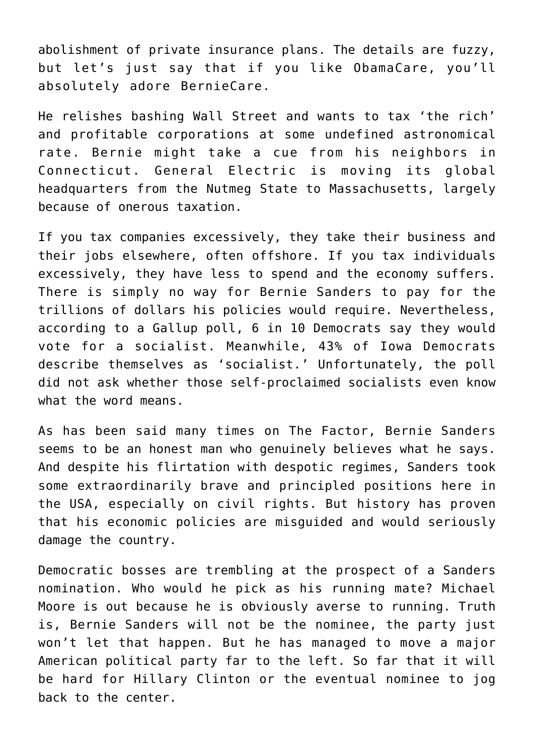abolishment of private insurance plans. The details are fuzzy, but let's just say that if you like ObamaCare, you'll absolutely adore BernieCare.

He relishes bashing Wall Street and wants to tax 'the rich' and profitable corporations at some undefined astronomical rate. Bernie might take a cue from his neighbors in Connecticut. General Electric is moving its global headquarters from the Nutmeg State to Massachusetts, largely because of onerous taxation.

If you tax companies excessively, they take their business and their jobs elsewhere, often offshore. If you tax individuals excessively, they have less to spend and the economy suffers. There is simply no way for Bernie Sanders to pay for the trillions of dollars his policies would require. Nevertheless, according to a Gallup poll, 6 in 10 Democrats say they would vote for a socialist. Meanwhile, 43% of Iowa Democrats describe themselves as 'socialist.' Unfortunately, the poll did not ask whether those self-proclaimed socialists even know what the word means.

As has been said many times on The Factor, Bernie Sanders seems to be an honest man who genuinely believes what he says. And despite his flirtation with despotic regimes, Sanders took some extraordinarily brave and principled positions here in the USA, especially on civil rights. But history has proven that his economic policies are misguided and would seriously damage the country.

Democratic bosses are trembling at the prospect of a Sanders nomination. Who would he pick as his running mate? Michael Moore is out because he is obviously averse to running. Truth is, Bernie Sanders will not be the nominee, the party just won't let that happen. But he has managed to move a major American political party far to the left. So far that it will be hard for Hillary Clinton or the eventual nominee to jog back to the center.